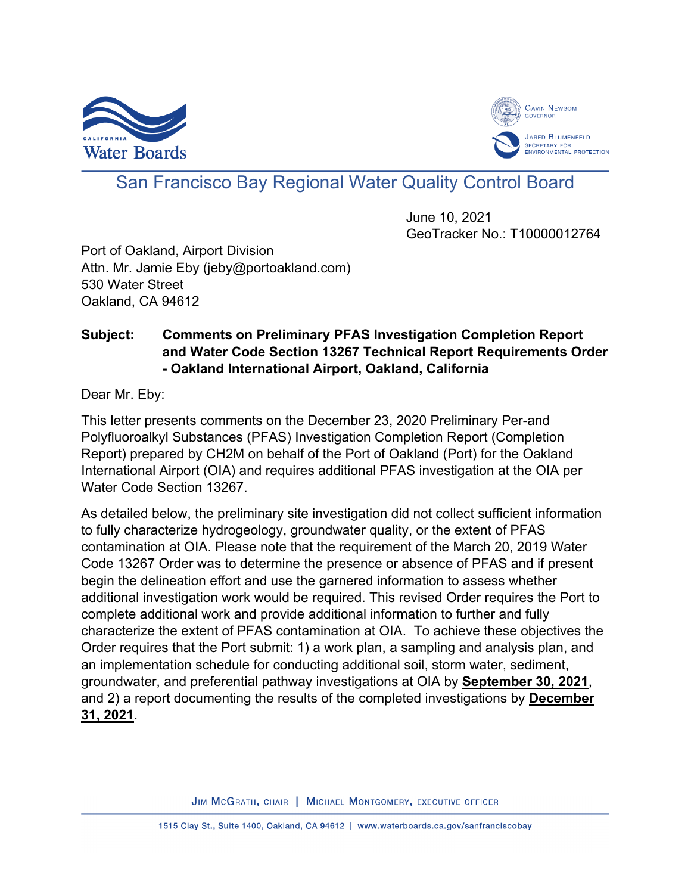



# San Francisco Bay Regional Water Quality Control Board

June 10, 2021 GeoTracker No.: T10000012764

Port of Oakland, Airport Division Attn. Mr. Jamie Eby (jeby@portoakland.com) 530 Water Street Oakland, CA 94612

## **Subject: Comments on Preliminary PFAS Investigation Completion Report and Water Code Section 13267 Technical Report Requirements Order - Oakland International Airport, Oakland, California**

Dear Mr. Eby:

This letter presents comments on the December 23, 2020 Preliminary Per-and Polyfluoroalkyl Substances (PFAS) Investigation Completion Report (Completion Report) prepared by CH2M on behalf of the Port of Oakland (Port) for the Oakland International Airport (OIA) and requires additional PFAS investigation at the OIA per Water Code Section 13267.

As detailed below, the preliminary site investigation did not collect sufficient information to fully characterize hydrogeology, groundwater quality, or the extent of PFAS contamination at OIA. Please note that the requirement of the March 20, 2019 Water Code 13267 Order was to determine the presence or absence of PFAS and if present begin the delineation effort and use the garnered information to assess whether additional investigation work would be required. This revised Order requires the Port to complete additional work and provide additional information to further and fully characterize the extent of PFAS contamination at OIA. To achieve these objectives the Order requires that the Port submit: 1) a work plan, a sampling and analysis plan, and an implementation schedule for conducting additional soil, storm water, sediment, groundwater, and preferential pathway investigations at OIA by **September 30, 2021**, and 2) a report documenting the results of the completed investigations by **December 31, 2021**.

JIM MCGRATH, CHAIR | MICHAEL MONTGOMERY, EXECUTIVE OFFICER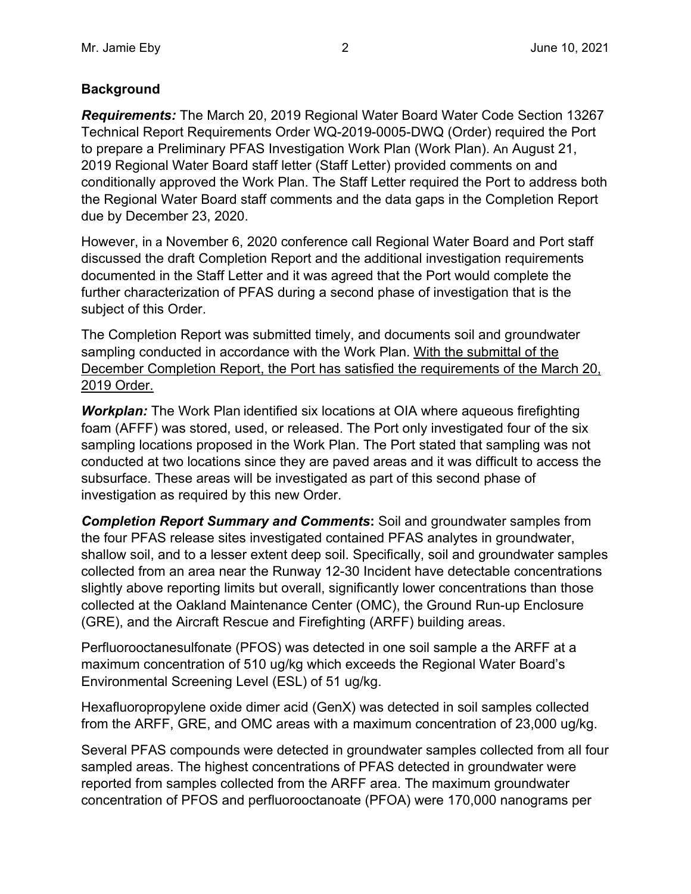## **Background**

*Requirements:* The March 20, 2019 Regional Water Board Water Code Section 13267 Technical Report Requirements Order WQ-2019-0005-DWQ (Order) required the Port to prepare a Preliminary PFAS Investigation Work Plan (Work Plan). An August 21, 2019 Regional Water Board staff letter (Staff Letter) provided comments on and conditionally approved the Work Plan. The Staff Letter required the Port to address both the Regional Water Board staff comments and the data gaps in the Completion Report due by December 23, 2020.

However, in a November 6, 2020 conference call Regional Water Board and Port staff discussed the draft Completion Report and the additional investigation requirements documented in the Staff Letter and it was agreed that the Port would complete the further characterization of PFAS during a second phase of investigation that is the subject of this Order.

The Completion Report was submitted timely, and documents soil and groundwater sampling conducted in accordance with the Work Plan. With the submittal of the December Completion Report, the Port has satisfied the requirements of the March 20, 2019 Order.

*Workplan:* The Work Plan identified six locations at OIA where aqueous firefighting foam (AFFF) was stored, used, or released. The Port only investigated four of the six sampling locations proposed in the Work Plan. The Port stated that sampling was not conducted at two locations since they are paved areas and it was difficult to access the subsurface. These areas will be investigated as part of this second phase of investigation as required by this new Order.

*Completion Report Summary and Comments***:** Soil and groundwater samples from the four PFAS release sites investigated contained PFAS analytes in groundwater, shallow soil, and to a lesser extent deep soil. Specifically, soil and groundwater samples collected from an area near the Runway 12-30 Incident have detectable concentrations slightly above reporting limits but overall, significantly lower concentrations than those collected at the Oakland Maintenance Center (OMC), the Ground Run-up Enclosure (GRE), and the Aircraft Rescue and Firefighting (ARFF) building areas.

Perfluorooctanesulfonate (PFOS) was detected in one soil sample a the ARFF at a maximum concentration of 510 ug/kg which exceeds the Regional Water Board's Environmental Screening Level (ESL) of 51 ug/kg.

Hexafluoropropylene oxide dimer acid (GenX) was detected in soil samples collected from the ARFF, GRE, and OMC areas with a maximum concentration of 23,000 ug/kg.

Several PFAS compounds were detected in groundwater samples collected from all four sampled areas. The highest concentrations of PFAS detected in groundwater were reported from samples collected from the ARFF area. The maximum groundwater concentration of PFOS and perfluorooctanoate (PFOA) were 170,000 nanograms per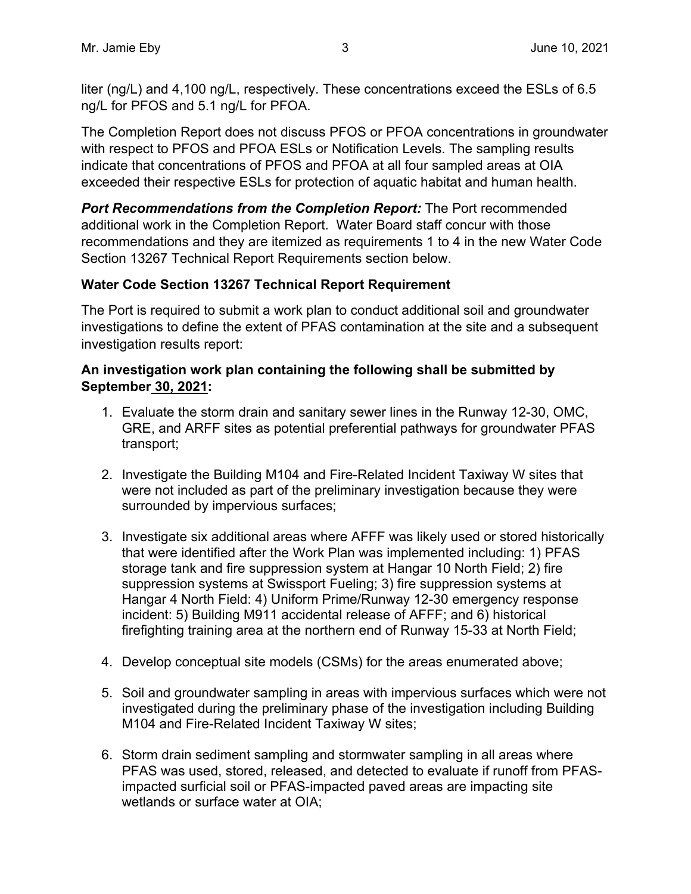liter (ng/L) and 4,100 ng/L, respectively. These concentrations exceed the ESLs of 6.5 ng/L for PFOS and 5.1 ng/L for PFOA.

The Completion Report does not discuss PFOS or PFOA concentrations in groundwater with respect to PFOS and PFOA ESLs or Notification Levels. The sampling results indicate that concentrations of PFOS and PFOA at all four sampled areas at OIA exceeded their respective ESLs for protection of aquatic habitat and human health.

*Port Recommendations from the Completion Report:* The Port recommended additional work in the Completion Report. Water Board staff concur with those recommendations and they are itemized as requirements 1 to 4 in the new Water Code Section 13267 Technical Report Requirements section below.

## **Water Code Section 13267 Technical Report Requirement**

The Port is required to submit a work plan to conduct additional soil and groundwater investigations to define the extent of PFAS contamination at the site and a subsequent investigation results report:

## **An investigation work plan containing the following shall be submitted by September 30, 2021:**

- 1. Evaluate the storm drain and sanitary sewer lines in the Runway 12-30, OMC, GRE, and ARFF sites as potential preferential pathways for groundwater PFAS transport;
- 2. Investigate the Building M104 and Fire-Related Incident Taxiway W sites that were not included as part of the preliminary investigation because they were surrounded by impervious surfaces;
- 3. Investigate six additional areas where AFFF was likely used or stored historically that were identified after the Work Plan was implemented including: 1) PFAS storage tank and fire suppression system at Hangar 10 North Field; 2) fire suppression systems at Swissport Fueling; 3) fire suppression systems at Hangar 4 North Field: 4) Uniform Prime/Runway 12-30 emergency response incident: 5) Building M911 accidental release of AFFF; and 6) historical firefighting training area at the northern end of Runway 15-33 at North Field;
- 4. Develop conceptual site models (CSMs) for the areas enumerated above;
- 5. Soil and groundwater sampling in areas with impervious surfaces which were not investigated during the preliminary phase of the investigation including Building M104 and Fire-Related Incident Taxiway W sites;
- 6. Storm drain sediment sampling and stormwater sampling in all areas where PFAS was used, stored, released, and detected to evaluate if runoff from PFASimpacted surficial soil or PFAS-impacted paved areas are impacting site wetlands or surface water at OIA;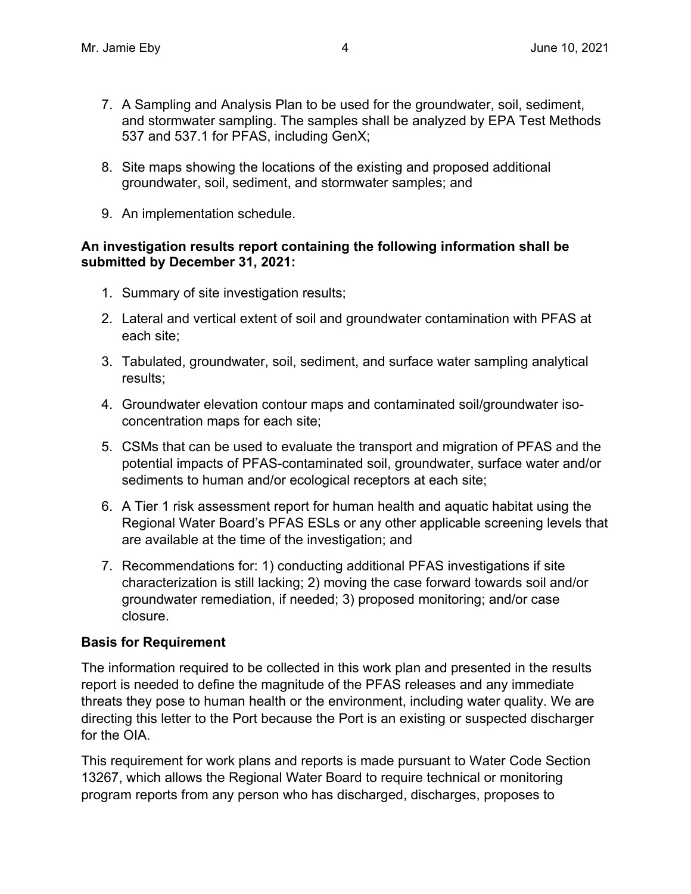- 7. A Sampling and Analysis Plan to be used for the groundwater, soil, sediment, and stormwater sampling. The samples shall be analyzed by EPA Test Methods 537 and 537.1 for PFAS, including GenX;
- 8. Site maps showing the locations of the existing and proposed additional groundwater, soil, sediment, and stormwater samples; and
- 9. An implementation schedule.

### **An investigation results report containing the following information shall be submitted by December 31, 2021:**

- 1. Summary of site investigation results;
- 2. Lateral and vertical extent of soil and groundwater contamination with PFAS at each site;
- 3. Tabulated, groundwater, soil, sediment, and surface water sampling analytical results;
- 4. Groundwater elevation contour maps and contaminated soil/groundwater isoconcentration maps for each site;
- 5. CSMs that can be used to evaluate the transport and migration of PFAS and the potential impacts of PFAS-contaminated soil, groundwater, surface water and/or sediments to human and/or ecological receptors at each site;
- 6. A Tier 1 risk assessment report for human health and aquatic habitat using the Regional Water Board's PFAS ESLs or any other applicable screening levels that are available at the time of the investigation; and
- 7. Recommendations for: 1) conducting additional PFAS investigations if site characterization is still lacking; 2) moving the case forward towards soil and/or groundwater remediation, if needed; 3) proposed monitoring; and/or case closure.

## **Basis for Requirement**

The information required to be collected in this work plan and presented in the results report is needed to define the magnitude of the PFAS releases and any immediate threats they pose to human health or the environment, including water quality. We are directing this letter to the Port because the Port is an existing or suspected discharger for the OIA.

This requirement for work plans and reports is made pursuant to Water Code Section 13267, which allows the Regional Water Board to require technical or monitoring program reports from any person who has discharged, discharges, proposes to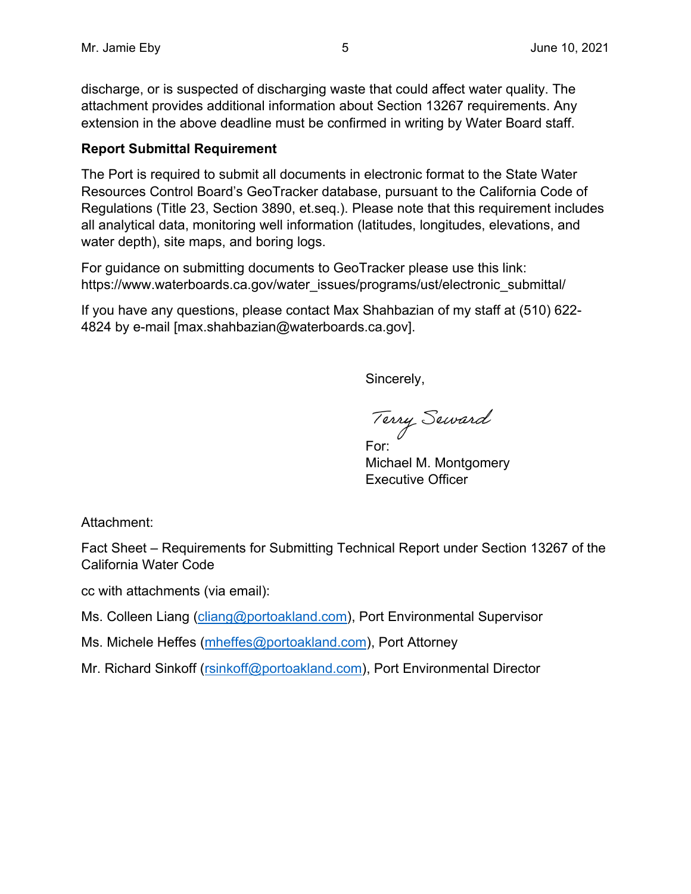discharge, or is suspected of discharging waste that could affect water quality. The attachment provides additional information about Section 13267 requirements. Any extension in the above deadline must be confirmed in writing by Water Board staff.

## **Report Submittal Requirement**

The Port is required to submit all documents in electronic format to the State Water Resources Control Board's GeoTracker database, pursuant to the California Code of Regulations (Title 23, Section 3890, et.seq.). Please note that this requirement includes all analytical data, monitoring well information (latitudes, longitudes, elevations, and water depth), site maps, and boring logs.

For guidance on submitting documents to GeoTracker please use this link: https://www.waterboards.ca.gov/water\_issues/programs/ust/electronic\_submittal/

If you have any questions, please contact Max Shahbazian of my staff at (510) 622- 4824 by e-mail [max.shahbazian@waterboards.ca.gov].

Sincerely,

Terry Seward

Michael M. Montgomery Executive Officer

Attachment:

Fact Sheet – Requirements for Submitting Technical Report under Section 13267 of the California Water Code

cc with attachments (via email):

Ms. Colleen Liang (cliang@portoakland.com), Port Environmental Supervisor

Ms. Michele Heffes (mheffes@portoakland.com), Port Attorney

Mr. Richard Sinkoff (rsinkoff@portoakland.com), Port Environmental Director